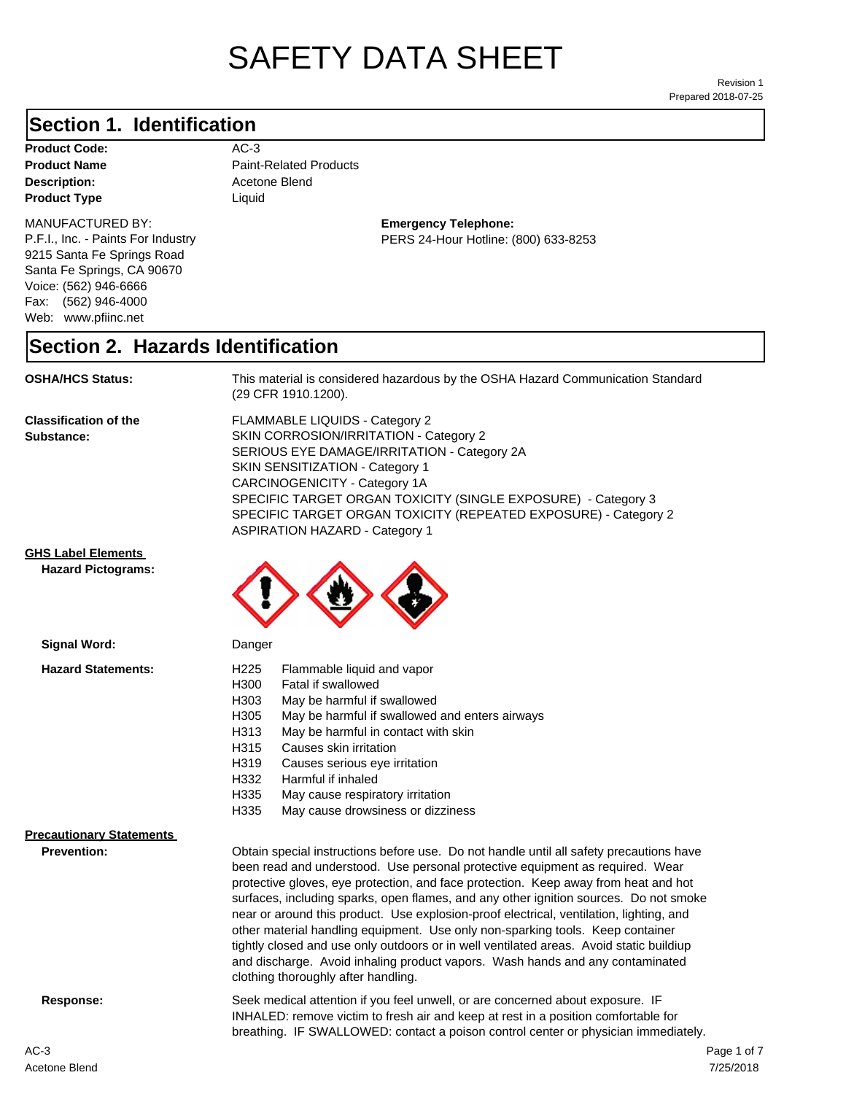# SAFETY DATA SHEET

Prepared 2018-07-25 Revision 1

#### **Section 1. Identification**

#### **Description:** Acetone Blend **Product Code:** AC-3 **Product Type Liquid Liquid**

#### MANUFACTURED BY:

P.F.I., Inc. - Paints For Industry 9215 Santa Fe Springs Road Santa Fe Springs, CA 90670 Voice: (562) 946-6666 Fax: (562) 946-4000 Web: www.pfiinc.net

**Product Name** Paint-Related Products

**Emergency Telephone:** PERS 24-Hour Hotline: (800) 633-8253

#### **Section 2. Hazards Identification**

**OSHA/HCS Status:** This material is considered hazardous by the OSHA Hazard Communication Standard (29 CFR 1910.1200).

**Classification of the Substance:**

FLAMMABLE LIQUIDS - Category 2 SKIN CORROSION/IRRITATION - Category 2 SERIOUS EYE DAMAGE/IRRITATION - Category 2A SKIN SENSITIZATION - Category 1 CARCINOGENICITY - Category 1A SPECIFIC TARGET ORGAN TOXICITY (SINGLE EXPOSURE) - Category 3 SPECIFIC TARGET ORGAN TOXICITY (REPEATED EXPOSURE) - Category 2 ASPIRATION HAZARD - Category 1

#### **GHS Label Elements**

**Hazard Pictograms:**



| Signal Word:                    | Danger                                                                                                                                                                                                                                                                                                                                                                                                                                                                                                                                                                                                                                                                                                                                                   |  |
|---------------------------------|----------------------------------------------------------------------------------------------------------------------------------------------------------------------------------------------------------------------------------------------------------------------------------------------------------------------------------------------------------------------------------------------------------------------------------------------------------------------------------------------------------------------------------------------------------------------------------------------------------------------------------------------------------------------------------------------------------------------------------------------------------|--|
| <b>Hazard Statements:</b>       | H <sub>225</sub><br>Flammable liquid and vapor<br>Fatal if swallowed<br>H <sub>300</sub><br>H303<br>May be harmful if swallowed<br>H305<br>May be harmful if swallowed and enters airways<br>H313<br>May be harmful in contact with skin<br>Causes skin irritation<br>H315<br>H319<br>Causes serious eye irritation<br>Harmful if inhaled<br>H332<br>H335<br>May cause respiratory irritation<br>H335<br>May cause drowsiness or dizziness                                                                                                                                                                                                                                                                                                               |  |
| <b>Precautionary Statements</b> |                                                                                                                                                                                                                                                                                                                                                                                                                                                                                                                                                                                                                                                                                                                                                          |  |
| <b>Prevention:</b>              | Obtain special instructions before use. Do not handle until all safety precautions have<br>been read and understood. Use personal protective equipment as required. Wear<br>protective gloves, eye protection, and face protection. Keep away from heat and hot<br>surfaces, including sparks, open flames, and any other ignition sources. Do not smoke<br>near or around this product. Use explosion-proof electrical, ventilation, lighting, and<br>other material handling equipment. Use only non-sparking tools. Keep container<br>tightly closed and use only outdoors or in well ventilated areas. Avoid static buildiup<br>and discharge. Avoid inhaling product vapors. Wash hands and any contaminated<br>clothing thoroughly after handling. |  |
| Response:                       | Seek medical attention if you feel unwell, or are concerned about exposure. IF<br>INHALED: remove victim to fresh air and keep at rest in a position comfortable for<br>breathing. IF SWALLOWED: contact a poison control center or physician immediately.                                                                                                                                                                                                                                                                                                                                                                                                                                                                                               |  |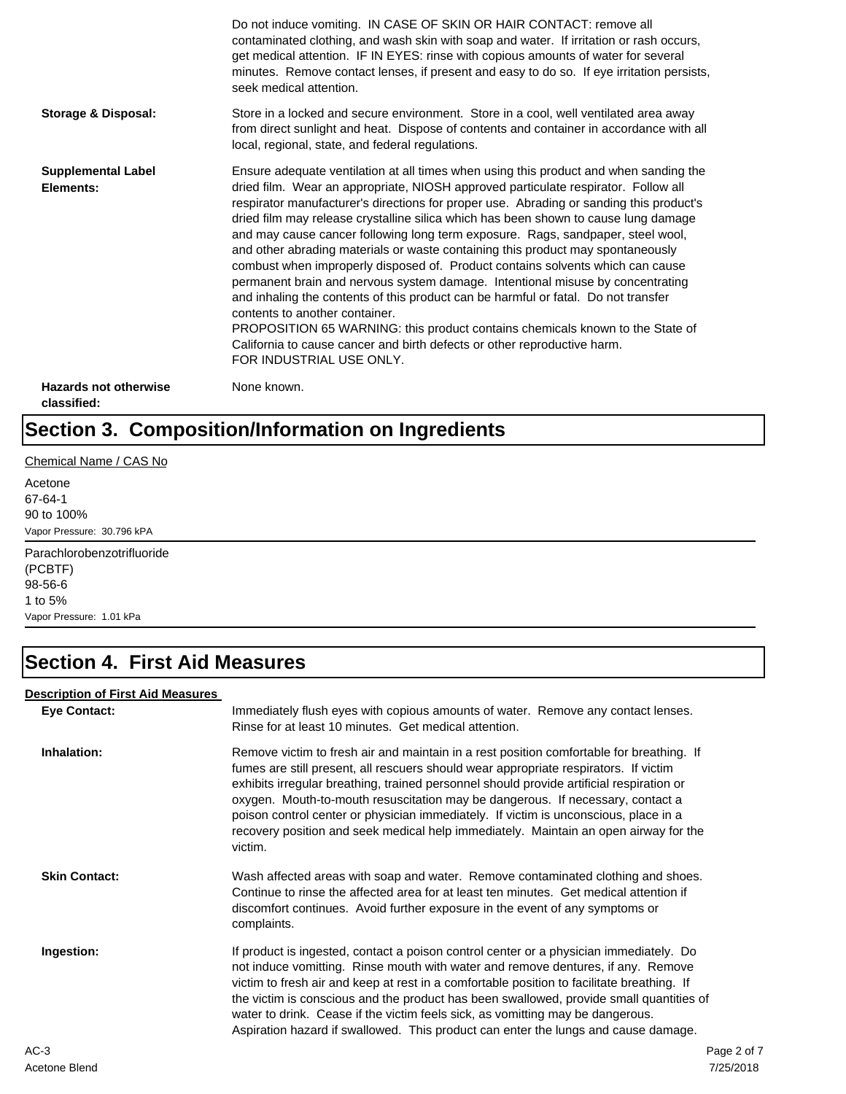|                                             | Do not induce vomiting. IN CASE OF SKIN OR HAIR CONTACT: remove all<br>contaminated clothing, and wash skin with soap and water. If irritation or rash occurs,<br>get medical attention. IF IN EYES: rinse with copious amounts of water for several<br>minutes. Remove contact lenses, if present and easy to do so. If eye irritation persists,<br>seek medical attention.                                                                                                                                                                                                                                                                                                                                                                                                                                                                                                                                                                                                                                             |
|---------------------------------------------|--------------------------------------------------------------------------------------------------------------------------------------------------------------------------------------------------------------------------------------------------------------------------------------------------------------------------------------------------------------------------------------------------------------------------------------------------------------------------------------------------------------------------------------------------------------------------------------------------------------------------------------------------------------------------------------------------------------------------------------------------------------------------------------------------------------------------------------------------------------------------------------------------------------------------------------------------------------------------------------------------------------------------|
| <b>Storage &amp; Disposal:</b>              | Store in a locked and secure environment. Store in a cool, well ventilated area away<br>from direct sunlight and heat. Dispose of contents and container in accordance with all<br>local, regional, state, and federal regulations.                                                                                                                                                                                                                                                                                                                                                                                                                                                                                                                                                                                                                                                                                                                                                                                      |
| <b>Supplemental Label</b><br>Elements:      | Ensure adequate ventilation at all times when using this product and when sanding the<br>dried film. Wear an appropriate, NIOSH approved particulate respirator. Follow all<br>respirator manufacturer's directions for proper use. Abrading or sanding this product's<br>dried film may release crystalline silica which has been shown to cause lung damage<br>and may cause cancer following long term exposure. Rags, sandpaper, steel wool,<br>and other abrading materials or waste containing this product may spontaneously<br>combust when improperly disposed of. Product contains solvents which can cause<br>permanent brain and nervous system damage. Intentional misuse by concentrating<br>and inhaling the contents of this product can be harmful or fatal. Do not transfer<br>contents to another container.<br>PROPOSITION 65 WARNING: this product contains chemicals known to the State of<br>California to cause cancer and birth defects or other reproductive harm.<br>FOR INDUSTRIAL USE ONLY. |
| <b>Hazards not otherwise</b><br>classified: | None known.                                                                                                                                                                                                                                                                                                                                                                                                                                                                                                                                                                                                                                                                                                                                                                                                                                                                                                                                                                                                              |

## **Section 3. Composition/Information on Ingredients**

#### Chemical Name / CAS No

Acetone 67-64-1 90 to 100% Vapor Pressure: 30.796 kPA

Parachlorobenzotrifluoride (PCBTF) 98-56-6 1 to 5% Vapor Pressure: 1.01 kPa

### **Section 4. First Aid Measures**

#### **Description of First Aid Measures**

| <b>Eye Contact:</b>  | Immediately flush eyes with copious amounts of water. Remove any contact lenses.<br>Rinse for at least 10 minutes. Get medical attention.                                                                                                                                                                                                                                                                                                                                                                                                                 |
|----------------------|-----------------------------------------------------------------------------------------------------------------------------------------------------------------------------------------------------------------------------------------------------------------------------------------------------------------------------------------------------------------------------------------------------------------------------------------------------------------------------------------------------------------------------------------------------------|
| Inhalation:          | Remove victim to fresh air and maintain in a rest position comfortable for breathing. If<br>fumes are still present, all rescuers should wear appropriate respirators. If victim<br>exhibits irregular breathing, trained personnel should provide artificial respiration or<br>oxygen. Mouth-to-mouth resuscitation may be dangerous. If necessary, contact a<br>poison control center or physician immediately. If victim is unconscious, place in a<br>recovery position and seek medical help immediately. Maintain an open airway for the<br>victim. |
| <b>Skin Contact:</b> | Wash affected areas with soap and water. Remove contaminated clothing and shoes.<br>Continue to rinse the affected area for at least ten minutes. Get medical attention if<br>discomfort continues. Avoid further exposure in the event of any symptoms or<br>complaints.                                                                                                                                                                                                                                                                                 |
| Ingestion:           | If product is ingested, contact a poison control center or a physician immediately. Do<br>not induce vomitting. Rinse mouth with water and remove dentures, if any. Remove<br>victim to fresh air and keep at rest in a comfortable position to facilitate breathing. If<br>the victim is conscious and the product has been swallowed, provide small quantities of<br>water to drink. Cease if the victim feels sick, as vomitting may be dangerous.<br>Aspiration hazard if swallowed. This product can enter the lungs and cause damage.               |
| AC-3                 | Page 2 of 7                                                                                                                                                                                                                                                                                                                                                                                                                                                                                                                                               |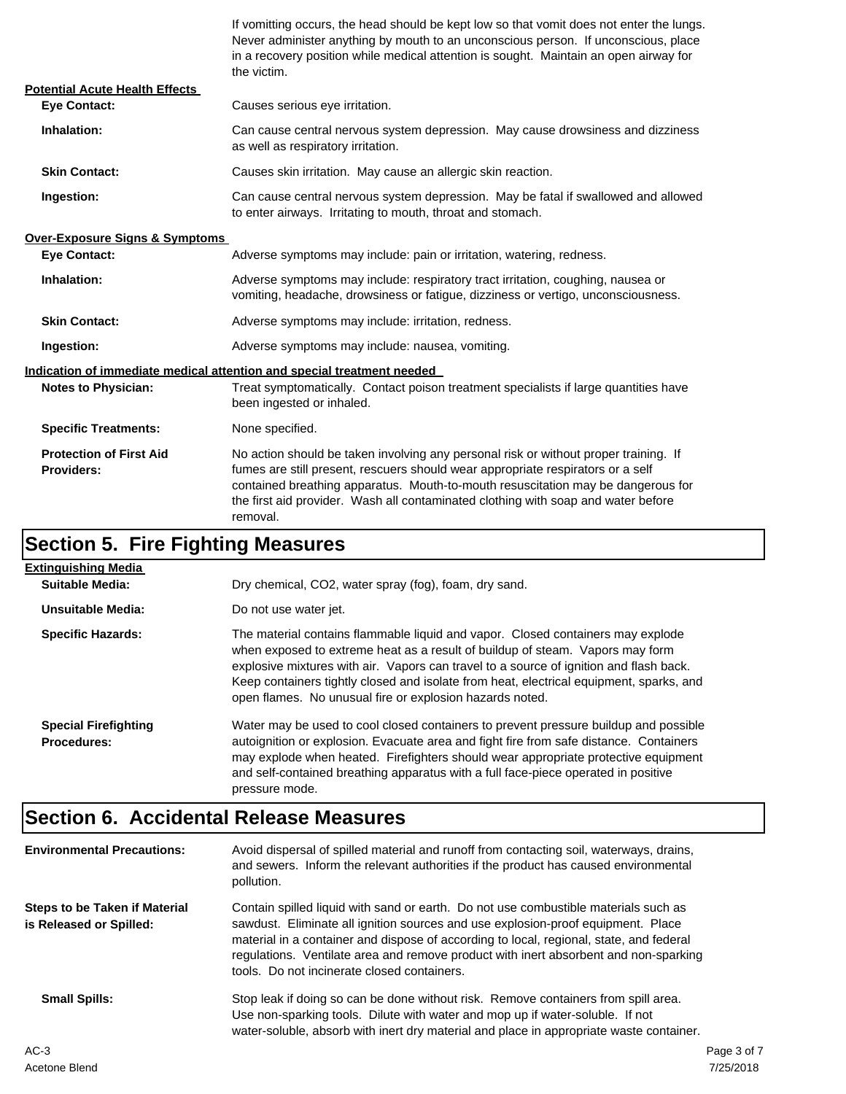|                                                     | If vomitting occurs, the head should be kept low so that vomit does not enter the lungs.<br>Never administer anything by mouth to an unconscious person. If unconscious, place<br>in a recovery position while medical attention is sought. Maintain an open airway for<br>the victim.                                                                       |  |
|-----------------------------------------------------|--------------------------------------------------------------------------------------------------------------------------------------------------------------------------------------------------------------------------------------------------------------------------------------------------------------------------------------------------------------|--|
| <b>Potential Acute Health Effects</b>               |                                                                                                                                                                                                                                                                                                                                                              |  |
| <b>Eye Contact:</b>                                 | Causes serious eye irritation.                                                                                                                                                                                                                                                                                                                               |  |
| Inhalation:                                         | Can cause central nervous system depression. May cause drowsiness and dizziness<br>as well as respiratory irritation.                                                                                                                                                                                                                                        |  |
| <b>Skin Contact:</b>                                | Causes skin irritation. May cause an allergic skin reaction.                                                                                                                                                                                                                                                                                                 |  |
| Ingestion:                                          | Can cause central nervous system depression. May be fatal if swallowed and allowed<br>to enter airways. Irritating to mouth, throat and stomach.                                                                                                                                                                                                             |  |
| <b>Over-Exposure Signs &amp; Symptoms</b>           |                                                                                                                                                                                                                                                                                                                                                              |  |
| <b>Eye Contact:</b>                                 | Adverse symptoms may include: pain or irritation, watering, redness.                                                                                                                                                                                                                                                                                         |  |
| Inhalation:                                         | Adverse symptoms may include: respiratory tract irritation, coughing, nausea or<br>vomiting, headache, drowsiness or fatigue, dizziness or vertigo, unconsciousness.                                                                                                                                                                                         |  |
| <b>Skin Contact:</b>                                | Adverse symptoms may include: irritation, redness.                                                                                                                                                                                                                                                                                                           |  |
| Ingestion:                                          | Adverse symptoms may include: nausea, vomiting.                                                                                                                                                                                                                                                                                                              |  |
|                                                     | Indication of immediate medical attention and special treatment needed                                                                                                                                                                                                                                                                                       |  |
| <b>Notes to Physician:</b>                          | Treat symptomatically. Contact poison treatment specialists if large quantities have<br>been ingested or inhaled.                                                                                                                                                                                                                                            |  |
| <b>Specific Treatments:</b>                         | None specified.                                                                                                                                                                                                                                                                                                                                              |  |
| <b>Protection of First Aid</b><br><b>Providers:</b> | No action should be taken involving any personal risk or without proper training. If<br>fumes are still present, rescuers should wear appropriate respirators or a self<br>contained breathing apparatus. Mouth-to-mouth resuscitation may be dangerous for<br>the first aid provider. Wash all contaminated clothing with soap and water before<br>removal. |  |

# **Section 5. Fire Fighting Measures**

| <b>Extinguishing Media</b>                        |                                                                                                                                                                                                                                                                                                                                                                                                                   |
|---------------------------------------------------|-------------------------------------------------------------------------------------------------------------------------------------------------------------------------------------------------------------------------------------------------------------------------------------------------------------------------------------------------------------------------------------------------------------------|
| Suitable Media:                                   | Dry chemical, CO2, water spray (fog), foam, dry sand.                                                                                                                                                                                                                                                                                                                                                             |
| Unsuitable Media:                                 | Do not use water jet.                                                                                                                                                                                                                                                                                                                                                                                             |
| <b>Specific Hazards:</b>                          | The material contains flammable liquid and vapor. Closed containers may explode<br>when exposed to extreme heat as a result of buildup of steam. Vapors may form<br>explosive mixtures with air. Vapors can travel to a source of ignition and flash back.<br>Keep containers tightly closed and isolate from heat, electrical equipment, sparks, and<br>open flames. No unusual fire or explosion hazards noted. |
| <b>Special Firefighting</b><br><b>Procedures:</b> | Water may be used to cool closed containers to prevent pressure buildup and possible<br>autoignition or explosion. Evacuate area and fight fire from safe distance. Containers<br>may explode when heated. Firefighters should wear appropriate protective equipment<br>and self-contained breathing apparatus with a full face-piece operated in positive<br>pressure mode.                                      |

# **Section 6. Accidental Release Measures**

| <b>Environmental Precautions:</b>                               | Avoid dispersal of spilled material and runoff from contacting soil, waterways, drains,<br>and sewers. Inform the relevant authorities if the product has caused environmental<br>pollution.                                                                                                                                                                                                              |             |
|-----------------------------------------------------------------|-----------------------------------------------------------------------------------------------------------------------------------------------------------------------------------------------------------------------------------------------------------------------------------------------------------------------------------------------------------------------------------------------------------|-------------|
| <b>Steps to be Taken if Material</b><br>is Released or Spilled: | Contain spilled liquid with sand or earth. Do not use combustible materials such as<br>sawdust. Eliminate all ignition sources and use explosion-proof equipment. Place<br>material in a container and dispose of according to local, regional, state, and federal<br>regulations. Ventilate area and remove product with inert absorbent and non-sparking<br>tools. Do not incinerate closed containers. |             |
| <b>Small Spills:</b>                                            | Stop leak if doing so can be done without risk. Remove containers from spill area.<br>Use non-sparking tools. Dilute with water and mop up if water-soluble. If not<br>water-soluble, absorb with inert dry material and place in appropriate waste container.                                                                                                                                            |             |
| $AC-3$                                                          |                                                                                                                                                                                                                                                                                                                                                                                                           | Page 3 of 7 |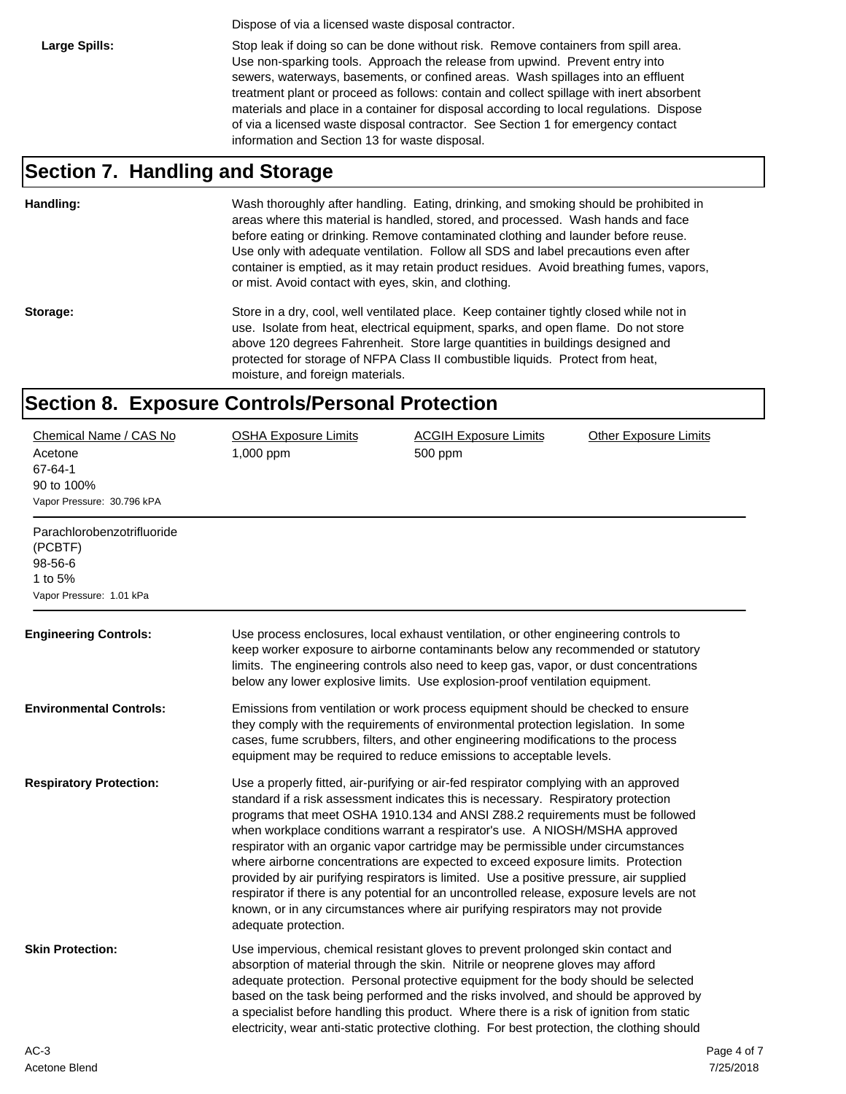Dispose of via a licensed waste disposal contractor.

Large Spills: Stop leak if doing so can be done without risk. Remove containers from spill area. Use non-sparking tools. Approach the release from upwind. Prevent entry into sewers, waterways, basements, or confined areas. Wash spillages into an effluent treatment plant or proceed as follows: contain and collect spillage with inert absorbent materials and place in a container for disposal according to local regulations. Dispose of via a licensed waste disposal contractor. See Section 1 for emergency contact information and Section 13 for waste disposal.

#### **Section 7. Handling and Storage**

**Handling:** Wash thoroughly after handling. Eating, drinking, and smoking should be prohibited in areas where this material is handled, stored, and processed. Wash hands and face before eating or drinking. Remove contaminated clothing and launder before reuse. Use only with adequate ventilation. Follow all SDS and label precautions even after container is emptied, as it may retain product residues. Avoid breathing fumes, vapors, or mist. Avoid contact with eyes, skin, and clothing.

Storage: Store in a dry, cool, well ventilated place. Keep container tightly closed while not in use. Isolate from heat, electrical equipment, sparks, and open flame. Do not store above 120 degrees Fahrenheit. Store large quantities in buildings designed and protected for storage of NFPA Class II combustible liquids. Protect from heat, moisture, and foreign materials.

#### **Section 8. Exposure Controls/Personal Protection**

| Chemical Name / CAS No<br>Acetone<br>67-64-1<br>90 to 100%<br>Vapor Pressure: 30.796 kPA | <b>OSHA Exposure Limits</b><br>1,000 ppm                                                                                                                                                                                                                                                                                                                                                                                                                                                                                                                                                                                                                                                                                                                                                                              | <b>ACGIH Exposure Limits</b><br>500 ppm                                                                                                                                                                                                                                                                                                                                                                                                                                                                                                   | <b>Other Exposure Limits</b> |
|------------------------------------------------------------------------------------------|-----------------------------------------------------------------------------------------------------------------------------------------------------------------------------------------------------------------------------------------------------------------------------------------------------------------------------------------------------------------------------------------------------------------------------------------------------------------------------------------------------------------------------------------------------------------------------------------------------------------------------------------------------------------------------------------------------------------------------------------------------------------------------------------------------------------------|-------------------------------------------------------------------------------------------------------------------------------------------------------------------------------------------------------------------------------------------------------------------------------------------------------------------------------------------------------------------------------------------------------------------------------------------------------------------------------------------------------------------------------------------|------------------------------|
| Parachlorobenzotrifluoride<br>(PCBTF)<br>98-56-6<br>1 to 5%<br>Vapor Pressure: 1.01 kPa  |                                                                                                                                                                                                                                                                                                                                                                                                                                                                                                                                                                                                                                                                                                                                                                                                                       |                                                                                                                                                                                                                                                                                                                                                                                                                                                                                                                                           |                              |
| <b>Engineering Controls:</b>                                                             |                                                                                                                                                                                                                                                                                                                                                                                                                                                                                                                                                                                                                                                                                                                                                                                                                       | Use process enclosures, local exhaust ventilation, or other engineering controls to<br>keep worker exposure to airborne contaminants below any recommended or statutory<br>limits. The engineering controls also need to keep gas, vapor, or dust concentrations<br>below any lower explosive limits. Use explosion-proof ventilation equipment.                                                                                                                                                                                          |                              |
| <b>Environmental Controls:</b>                                                           |                                                                                                                                                                                                                                                                                                                                                                                                                                                                                                                                                                                                                                                                                                                                                                                                                       | Emissions from ventilation or work process equipment should be checked to ensure<br>they comply with the requirements of environmental protection legislation. In some<br>cases, fume scrubbers, filters, and other engineering modifications to the process<br>equipment may be required to reduce emissions to acceptable levels.                                                                                                                                                                                                       |                              |
| <b>Respiratory Protection:</b>                                                           | Use a properly fitted, air-purifying or air-fed respirator complying with an approved<br>standard if a risk assessment indicates this is necessary. Respiratory protection<br>programs that meet OSHA 1910.134 and ANSI Z88.2 requirements must be followed<br>when workplace conditions warrant a respirator's use. A NIOSH/MSHA approved<br>respirator with an organic vapor cartridge may be permissible under circumstances<br>where airborne concentrations are expected to exceed exposure limits. Protection<br>provided by air purifying respirators is limited. Use a positive pressure, air supplied<br>respirator if there is any potential for an uncontrolled release, exposure levels are not<br>known, or in any circumstances where air purifying respirators may not provide<br>adequate protection. |                                                                                                                                                                                                                                                                                                                                                                                                                                                                                                                                           |                              |
| <b>Skin Protection:</b>                                                                  |                                                                                                                                                                                                                                                                                                                                                                                                                                                                                                                                                                                                                                                                                                                                                                                                                       | Use impervious, chemical resistant gloves to prevent prolonged skin contact and<br>absorption of material through the skin. Nitrile or neoprene gloves may afford<br>adequate protection. Personal protective equipment for the body should be selected<br>based on the task being performed and the risks involved, and should be approved by<br>a specialist before handling this product. Where there is a risk of ignition from static<br>electricity, wear anti-static protective clothing. For best protection, the clothing should |                              |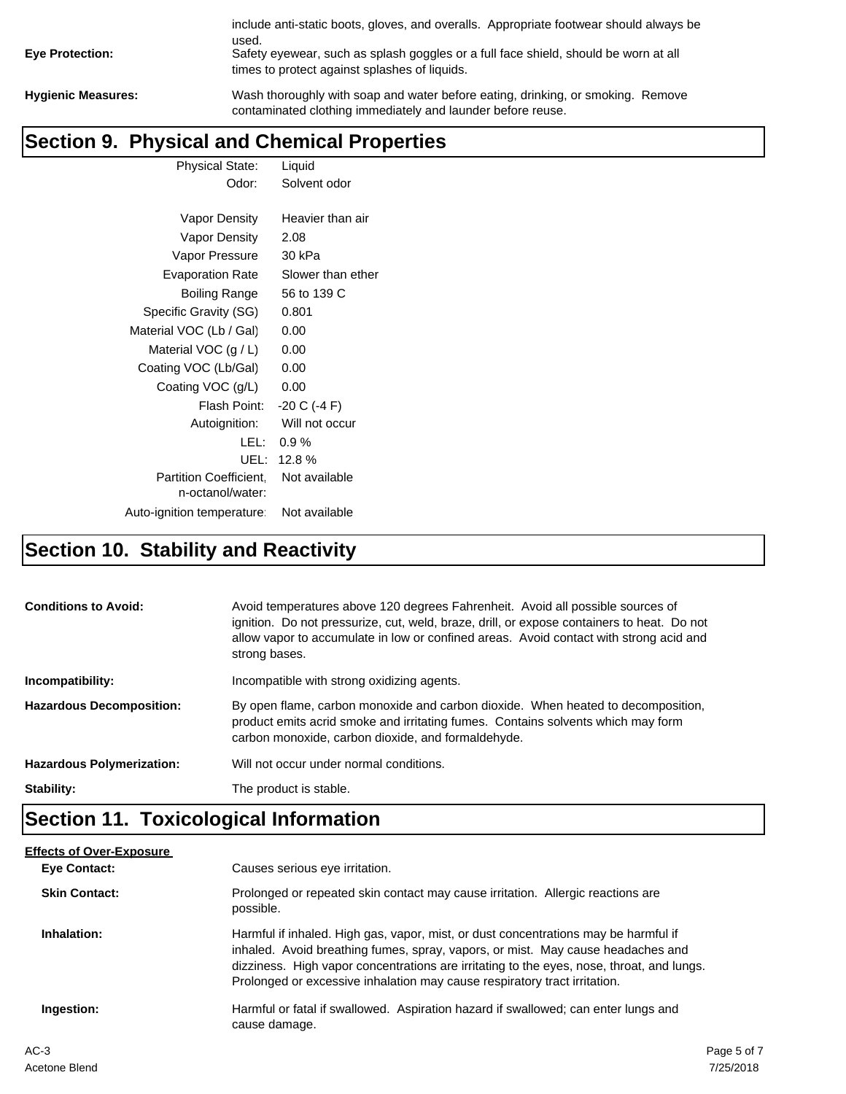| <b>Eve Protection:</b>    | include anti-static boots, gloves, and overalls. Appropriate footwear should always be<br>used.<br>Safety eyewear, such as splash goggles or a full face shield, should be worn at all<br>times to protect against splashes of liquids. |
|---------------------------|-----------------------------------------------------------------------------------------------------------------------------------------------------------------------------------------------------------------------------------------|
| <b>Hygienic Measures:</b> | Wash thoroughly with soap and water before eating, drinking, or smoking. Remove<br>contaminated clothing immediately and launder before reuse.                                                                                          |

#### **Section 9. Physical and Chemical Properties**

| <b>Physical State:</b>        | Liquid            |
|-------------------------------|-------------------|
| Odor:                         | Solvent odor      |
|                               |                   |
| <b>Vapor Density</b>          | Heavier than air  |
| Vapor Density                 | 2.08              |
| Vapor Pressure                | 30 kPa            |
| <b>Evaporation Rate</b>       | Slower than ether |
| Boiling Range                 | 56 to 139 C       |
| Specific Gravity (SG)         | 0.801             |
| Material VOC (Lb / Gal)       | 0.00              |
| Material VOC $(g / L)$        | 0.00              |
| Coating VOC (Lb/Gal)          | 0.00              |
| Coating VOC (g/L)             | 0.00              |
| Flash Point:                  | $-20 C (-4 F)$    |
| Autoignition:                 | Will not occur    |
| LEL:                          | 0.9%              |
| UEL:                          | 12.8%             |
| <b>Partition Coefficient.</b> | Not available     |
| n-octanol/water:              |                   |
| Auto-ignition temperature:    | Not available     |

# **Section 10. Stability and Reactivity**

| <b>Conditions to Avoid:</b>      | Avoid temperatures above 120 degrees Fahrenheit. Avoid all possible sources of<br>ignition. Do not pressurize, cut, weld, braze, drill, or expose containers to heat. Do not<br>allow vapor to accumulate in low or confined areas. Avoid contact with strong acid and<br>strong bases. |
|----------------------------------|-----------------------------------------------------------------------------------------------------------------------------------------------------------------------------------------------------------------------------------------------------------------------------------------|
| Incompatibility:                 | Incompatible with strong oxidizing agents.                                                                                                                                                                                                                                              |
| <b>Hazardous Decomposition:</b>  | By open flame, carbon monoxide and carbon dioxide. When heated to decomposition,<br>product emits acrid smoke and irritating fumes. Contains solvents which may form<br>carbon monoxide, carbon dioxide, and formaldehyde.                                                              |
| <b>Hazardous Polymerization:</b> | Will not occur under normal conditions.                                                                                                                                                                                                                                                 |
| Stability:                       | The product is stable.                                                                                                                                                                                                                                                                  |

# **Section 11. Toxicological Information**

| <b>Effects of Over-Exposure</b> |                                                                                                                                                                                                                                                                                                                                                  |             |
|---------------------------------|--------------------------------------------------------------------------------------------------------------------------------------------------------------------------------------------------------------------------------------------------------------------------------------------------------------------------------------------------|-------------|
| <b>Eve Contact:</b>             | Causes serious eye irritation.                                                                                                                                                                                                                                                                                                                   |             |
| <b>Skin Contact:</b>            | Prolonged or repeated skin contact may cause irritation. Allergic reactions are<br>possible.                                                                                                                                                                                                                                                     |             |
| Inhalation:                     | Harmful if inhaled. High gas, vapor, mist, or dust concentrations may be harmful if<br>inhaled. Avoid breathing fumes, spray, vapors, or mist. May cause headaches and<br>dizziness. High vapor concentrations are irritating to the eyes, nose, throat, and lungs.<br>Prolonged or excessive inhalation may cause respiratory tract irritation. |             |
| Ingestion:                      | Harmful or fatal if swallowed. Aspiration hazard if swallowed; can enter lungs and<br>cause damage.                                                                                                                                                                                                                                              |             |
| $AC-3$                          |                                                                                                                                                                                                                                                                                                                                                  | Page 5 of 7 |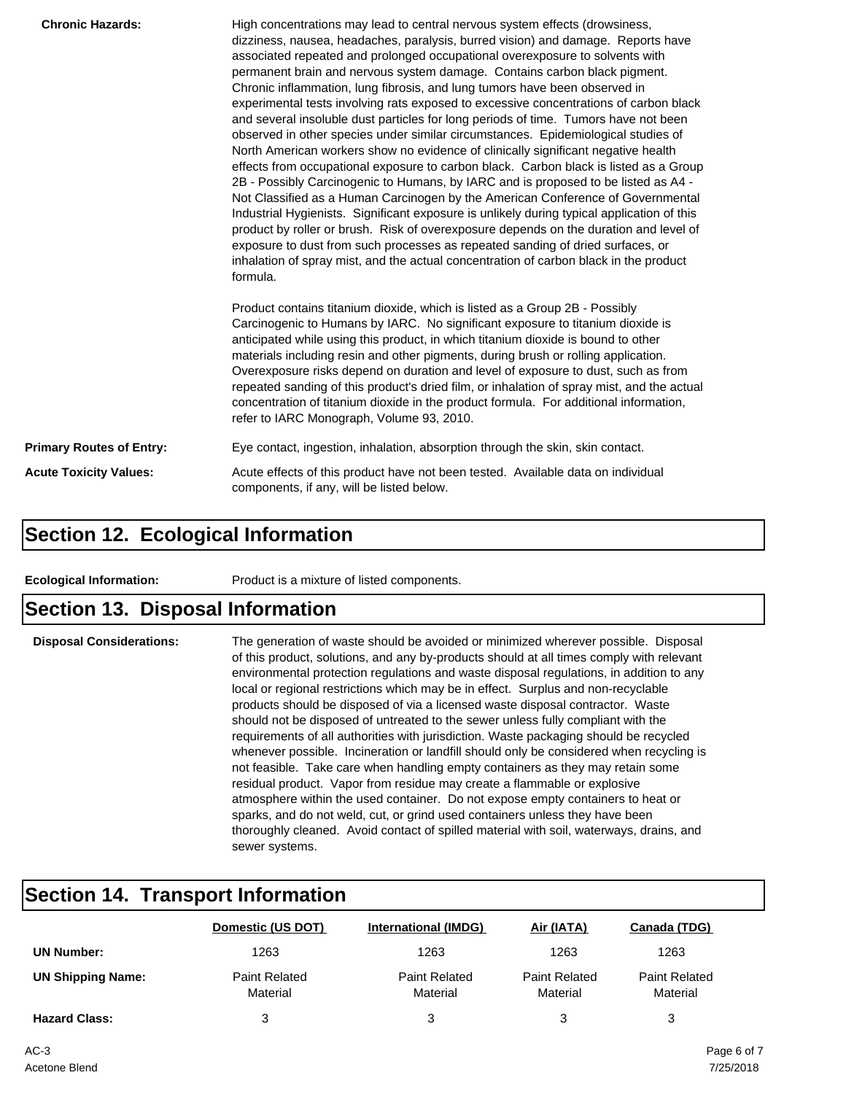| <b>Chronic Hazards:</b>         | High concentrations may lead to central nervous system effects (drowsiness,<br>dizziness, nausea, headaches, paralysis, burred vision) and damage. Reports have<br>associated repeated and prolonged occupational overexposure to solvents with<br>permanent brain and nervous system damage. Contains carbon black pigment.<br>Chronic inflammation, lung fibrosis, and lung tumors have been observed in<br>experimental tests involving rats exposed to excessive concentrations of carbon black<br>and several insoluble dust particles for long periods of time. Tumors have not been<br>observed in other species under similar circumstances. Epidemiological studies of<br>North American workers show no evidence of clinically significant negative health<br>effects from occupational exposure to carbon black. Carbon black is listed as a Group<br>2B - Possibly Carcinogenic to Humans, by IARC and is proposed to be listed as A4 -<br>Not Classified as a Human Carcinogen by the American Conference of Governmental<br>Industrial Hygienists. Significant exposure is unlikely during typical application of this<br>product by roller or brush. Risk of overexposure depends on the duration and level of<br>exposure to dust from such processes as repeated sanding of dried surfaces, or<br>inhalation of spray mist, and the actual concentration of carbon black in the product<br>formula. |
|---------------------------------|----------------------------------------------------------------------------------------------------------------------------------------------------------------------------------------------------------------------------------------------------------------------------------------------------------------------------------------------------------------------------------------------------------------------------------------------------------------------------------------------------------------------------------------------------------------------------------------------------------------------------------------------------------------------------------------------------------------------------------------------------------------------------------------------------------------------------------------------------------------------------------------------------------------------------------------------------------------------------------------------------------------------------------------------------------------------------------------------------------------------------------------------------------------------------------------------------------------------------------------------------------------------------------------------------------------------------------------------------------------------------------------------------------------------|
|                                 | Product contains titanium dioxide, which is listed as a Group 2B - Possibly<br>Carcinogenic to Humans by IARC. No significant exposure to titanium dioxide is<br>anticipated while using this product, in which titanium dioxide is bound to other<br>materials including resin and other pigments, during brush or rolling application.<br>Overexposure risks depend on duration and level of exposure to dust, such as from<br>repeated sanding of this product's dried film, or inhalation of spray mist, and the actual<br>concentration of titanium dioxide in the product formula. For additional information,<br>refer to IARC Monograph, Volume 93, 2010.                                                                                                                                                                                                                                                                                                                                                                                                                                                                                                                                                                                                                                                                                                                                                    |
| <b>Primary Routes of Entry:</b> | Eye contact, ingestion, inhalation, absorption through the skin, skin contact.                                                                                                                                                                                                                                                                                                                                                                                                                                                                                                                                                                                                                                                                                                                                                                                                                                                                                                                                                                                                                                                                                                                                                                                                                                                                                                                                       |
| <b>Acute Toxicity Values:</b>   | Acute effects of this product have not been tested. Available data on individual<br>components, if any, will be listed below.                                                                                                                                                                                                                                                                                                                                                                                                                                                                                                                                                                                                                                                                                                                                                                                                                                                                                                                                                                                                                                                                                                                                                                                                                                                                                        |

#### **Section 12. Ecological Information**

**Ecological Information:** Product is a mixture of listed components.

#### **Section 13. Disposal Information**

**Disposal Considerations:** The generation of waste should be avoided or minimized wherever possible. Disposal of this product, solutions, and any by-products should at all times comply with relevant environmental protection regulations and waste disposal regulations, in addition to any local or regional restrictions which may be in effect. Surplus and non-recyclable products should be disposed of via a licensed waste disposal contractor. Waste should not be disposed of untreated to the sewer unless fully compliant with the requirements of all authorities with jurisdiction. Waste packaging should be recycled whenever possible. Incineration or landfill should only be considered when recycling is not feasible. Take care when handling empty containers as they may retain some residual product. Vapor from residue may create a flammable or explosive atmosphere within the used container. Do not expose empty containers to heat or sparks, and do not weld, cut, or grind used containers unless they have been thoroughly cleaned. Avoid contact of spilled material with soil, waterways, drains, and sewer systems.

#### **Section 14. Transport Information**

|                          | Domestic (US DOT)                | International (IMDG)      | Air (IATA)                       | <b>Canada (TDG)</b>              |
|--------------------------|----------------------------------|---------------------------|----------------------------------|----------------------------------|
| <b>UN Number:</b>        | 1263                             | 1263                      | 1263                             | 1263                             |
| <b>UN Shipping Name:</b> | <b>Paint Related</b><br>Material | Paint Related<br>Material | <b>Paint Related</b><br>Material | <b>Paint Related</b><br>Material |
| <b>Hazard Class:</b>     | 3                                | 3                         |                                  |                                  |